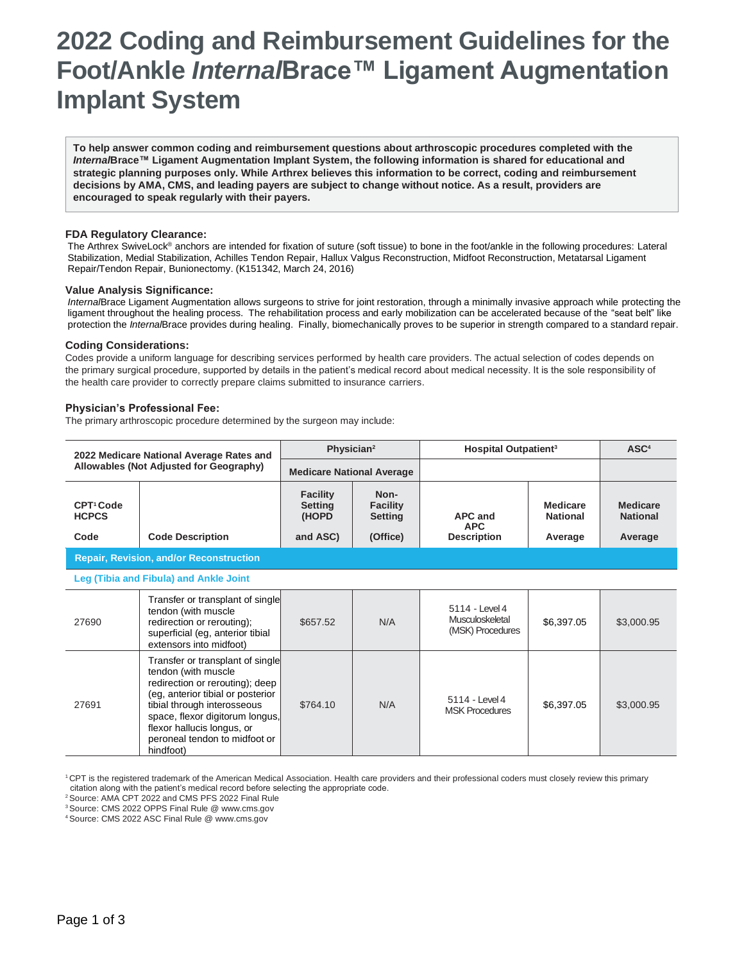# **2022 Coding and Reimbursement Guidelines for the Foot/Ankle** *Internal***Brace™ Ligament Augmentation Implant System**

**To help answer common coding and reimbursement questions about arthroscopic procedures completed with the**  *Internal***Brace™ Ligament Augmentation Implant System, the following information is shared for educational and strategic planning purposes only. While Arthrex believes this information to be correct, coding and reimbursement decisions by AMA, CMS, and leading payers are subject to change without notice. As a result, providers are encouraged to speak regularly with their payers.**

## **FDA Regulatory Clearance:**

 The Arthrex SwiveLock® anchors are intended for fixation of suture (soft tissue) to bone in the foot/ankle in the following procedures: Lateral Stabilization, Medial Stabilization, Achilles Tendon Repair, Hallux Valgus Reconstruction, Midfoot Reconstruction, Metatarsal Ligament Repair/Tendon Repair, Bunionectomy. (K151342, March 24, 2016)

#### **Value Analysis Significance:**

*Internal*Brace Ligament Augmentation allows surgeons to strive for joint restoration, through a minimally invasive approach while protecting the ligament throughout the healing process. The rehabilitation process and early mobilization can be accelerated because of the "seat belt" like protection the *Internal*Brace provides during healing. Finally, biomechanically proves to be superior in strength compared to a standard repair.

#### **Coding Considerations:**

Codes provide a uniform language for describing services performed by health care providers. The actual selection of codes depends on the primary surgical procedure, supported by details in the patient's medical record about medical necessity. It is the sole responsibility of the health care provider to correctly prepare claims submitted to insurance carriers.

### **Physician's Professional Fee:**

The primary arthroscopic procedure determined by the surgeon may include:

| 2022 Medicare National Average Rates and<br>Allowables (Not Adjusted for Geography) |                         | Physician <sup>2</sup>                                 |                                                       | Hospital Outpatient <sup>3</sup>            |                                               | ASC <sup>4</sup>                              |
|-------------------------------------------------------------------------------------|-------------------------|--------------------------------------------------------|-------------------------------------------------------|---------------------------------------------|-----------------------------------------------|-----------------------------------------------|
|                                                                                     |                         | <b>Medicare National Average</b>                       |                                                       |                                             |                                               |                                               |
| CPT <sup>1</sup> Code<br><b>HCPCS</b><br>Code                                       | <b>Code Description</b> | <b>Facility</b><br><b>Setting</b><br>(HOPD<br>and ASC) | Non-<br><b>Facility</b><br><b>Setting</b><br>(Office) | APC and<br><b>APC</b><br><b>Description</b> | <b>Medicare</b><br><b>National</b><br>Average | <b>Medicare</b><br><b>National</b><br>Average |
| <b>Repair, Revision, and/or Reconstruction</b>                                      |                         |                                                        |                                                       |                                             |                                               |                                               |
| Leg (Tibia and Fibula) and Ankle Joint                                              |                         |                                                        |                                                       |                                             |                                               |                                               |

| 27690 | Transfer or transplant of single<br>tendon (with muscle<br>redirection or rerouting);<br>superficial (eg, anterior tibial<br>extensors into midfoot)                                                                                                                          | \$657.52 | N/A | 5114 - Level 4<br>Musculoskeletal<br>(MSK) Procedures | \$6,397.05 | \$3,000.95 |
|-------|-------------------------------------------------------------------------------------------------------------------------------------------------------------------------------------------------------------------------------------------------------------------------------|----------|-----|-------------------------------------------------------|------------|------------|
| 27691 | Transfer or transplant of single<br>tendon (with muscle<br>redirection or rerouting); deep<br>(eg, anterior tibial or posterior<br>tibial through interosseous<br>space, flexor digitorum longus,<br>flexor hallucis longus, or<br>peroneal tendon to midfoot or<br>hindfoot) | \$764.10 | N/A | 5114 - Level 4<br><b>MSK Procedures</b>               | \$6,397.05 | \$3,000.95 |

<sup>1</sup>CPT is the registered trademark of the American Medical Association. Health care providers and their professional coders must closely review this primary citation along with the patient's medical record before selecting the appropriate code.

<sup>2</sup>Source: AMA CPT 2022 and CMS PFS 2022 Final Rule

<sup>3</sup>Source: CMS 2022 OPPS Final Rule @ [www.cms.gov](http://www.cms.gov/)

<sup>4</sup>Source: CMS 2022 ASC Final Rule @ [www.cms.gov](http://www.cms.gov/)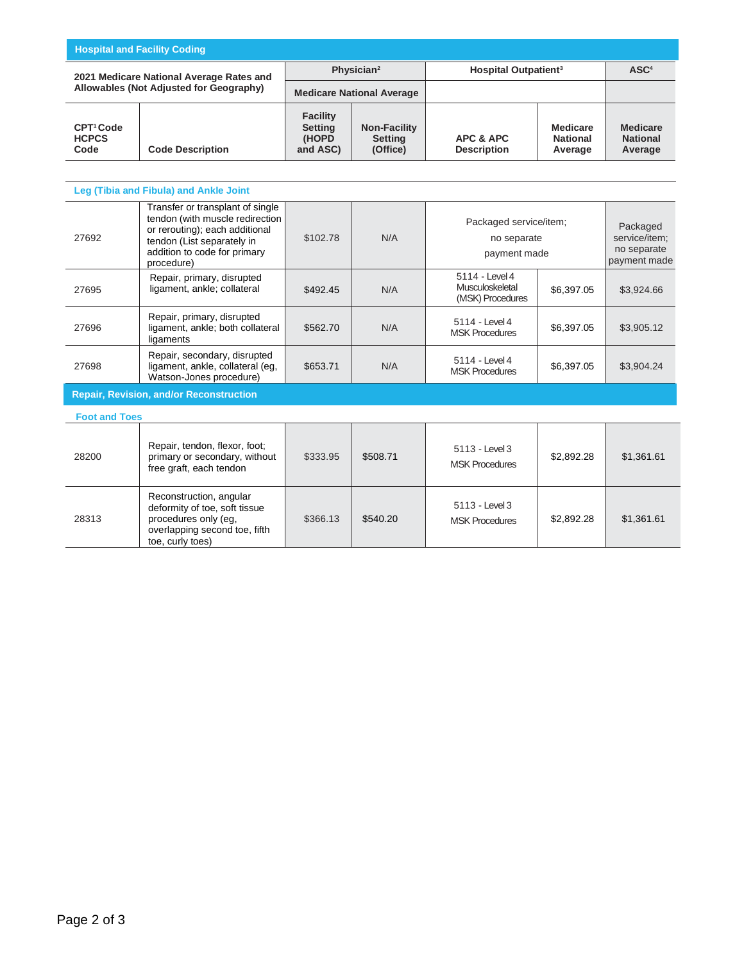| <b>Hospital and Facility Coding</b>                                                 |                                                                                                                                                                                   |                                                            |                                                   |                                                       |                                               |                                                          |
|-------------------------------------------------------------------------------------|-----------------------------------------------------------------------------------------------------------------------------------------------------------------------------------|------------------------------------------------------------|---------------------------------------------------|-------------------------------------------------------|-----------------------------------------------|----------------------------------------------------------|
| 2021 Medicare National Average Rates and<br>Allowables (Not Adjusted for Geography) |                                                                                                                                                                                   | Physician <sup>2</sup><br><b>Medicare National Average</b> |                                                   | <b>Hospital Outpatient<sup>3</sup></b>                |                                               | ASC <sup>4</sup>                                         |
|                                                                                     |                                                                                                                                                                                   |                                                            |                                                   |                                                       |                                               |                                                          |
| CPT <sup>1</sup> Code<br><b>HCPCS</b><br>Code                                       | <b>Code Description</b>                                                                                                                                                           | <b>Facility</b><br><b>Setting</b><br>(HOPD<br>and ASC)     | <b>Non-Facility</b><br><b>Setting</b><br>(Office) | <b>APC &amp; APC</b><br><b>Description</b>            | <b>Medicare</b><br><b>National</b><br>Average | <b>Medicare</b><br><b>National</b><br>Average            |
|                                                                                     |                                                                                                                                                                                   |                                                            |                                                   |                                                       |                                               |                                                          |
|                                                                                     | Leg (Tibia and Fibula) and Ankle Joint                                                                                                                                            |                                                            |                                                   |                                                       |                                               |                                                          |
| 27692                                                                               | Transfer or transplant of single<br>tendon (with muscle redirection<br>or rerouting); each additional<br>tendon (List separately in<br>addition to code for primary<br>procedure) | \$102.78                                                   | N/A                                               | Packaged service/item;<br>no separate<br>payment made |                                               | Packaged<br>service/item:<br>no separate<br>payment made |
| 27695                                                                               | Repair, primary, disrupted<br>ligament, ankle; collateral                                                                                                                         | \$492.45                                                   | N/A                                               | 5114 - Level 4<br>Musculoskeletal<br>(MSK) Procedures | \$6,397.05                                    | \$3.924.66                                               |
| 27696                                                                               | Repair, primary, disrupted<br>ligament, ankle; both collateral<br>ligaments                                                                                                       | \$562.70                                                   | N/A                                               | 5114 - Level 4<br><b>MSK Procedures</b>               | \$6,397.05                                    | \$3,905.12                                               |
| 27698                                                                               | Repair, secondary, disrupted<br>ligament, ankle, collateral (eg,<br>Watson-Jones procedure)                                                                                       | \$653.71                                                   | N/A                                               | 5114 - Level 4<br><b>MSK Procedures</b>               | \$6,397.05                                    | \$3.904.24                                               |
| <b>Pensir Pevision and/or Peconstruction</b>                                        |                                                                                                                                                                                   |                                                            |                                                   |                                                       |                                               |                                                          |

**Repair, Revision, and/or Reconstruction**

| <b>Foot and Toes</b> |                                                                                                                                       |          |          |                                         |            |            |
|----------------------|---------------------------------------------------------------------------------------------------------------------------------------|----------|----------|-----------------------------------------|------------|------------|
| 28200                | Repair, tendon, flexor, foot;<br>primary or secondary, without<br>free graft, each tendon                                             | \$333.95 | \$508.71 | 5113 - Level 3<br><b>MSK Procedures</b> | \$2,892.28 | \$1,361.61 |
| 28313                | Reconstruction, angular<br>deformity of toe, soft tissue<br>procedures only (eg,<br>overlapping second toe, fifth<br>toe, curly toes) | \$366.13 | \$540.20 | 5113 - Level 3<br><b>MSK Procedures</b> | \$2,892.28 | \$1,361.61 |